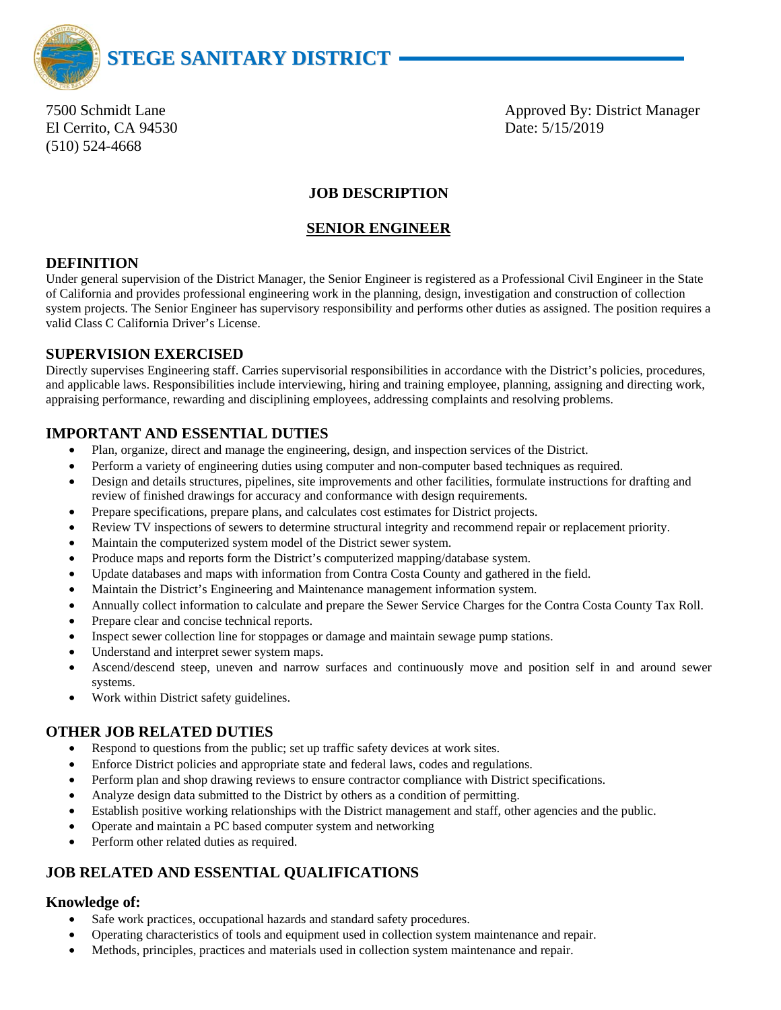

El Cerrito, CA 94530 Date: 5/15/2019 (510) 524-4668

7500 Schmidt Lane **Approved By: District Manager** Approved By: District Manager

# **JOB DESCRIPTION**

## **SENIOR ENGINEER**

## **DEFINITION**

Under general supervision of the District Manager, the Senior Engineer is registered as a Professional Civil Engineer in the State of California and provides professional engineering work in the planning, design, investigation and construction of collection system projects. The Senior Engineer has supervisory responsibility and performs other duties as assigned. The position requires a valid Class C California Driver's License.

## **SUPERVISION EXERCISED**

Directly supervises Engineering staff. Carries supervisorial responsibilities in accordance with the District's policies, procedures, and applicable laws. Responsibilities include interviewing, hiring and training employee, planning, assigning and directing work, appraising performance, rewarding and disciplining employees, addressing complaints and resolving problems.

# **IMPORTANT AND ESSENTIAL DUTIES**

- Plan, organize, direct and manage the engineering, design, and inspection services of the District.
- Perform a variety of engineering duties using computer and non-computer based techniques as required.
- Design and details structures, pipelines, site improvements and other facilities, formulate instructions for drafting and review of finished drawings for accuracy and conformance with design requirements.
- Prepare specifications, prepare plans, and calculates cost estimates for District projects.
- Review TV inspections of sewers to determine structural integrity and recommend repair or replacement priority.
- Maintain the computerized system model of the District sewer system.
- Produce maps and reports form the District's computerized mapping/database system.
- Update databases and maps with information from Contra Costa County and gathered in the field.
- Maintain the District's Engineering and Maintenance management information system.
- Annually collect information to calculate and prepare the Sewer Service Charges for the Contra Costa County Tax Roll.
- Prepare clear and concise technical reports.
- Inspect sewer collection line for stoppages or damage and maintain sewage pump stations.
- Understand and interpret sewer system maps.
- Ascend/descend steep, uneven and narrow surfaces and continuously move and position self in and around sewer systems.
- Work within District safety guidelines.

### **OTHER JOB RELATED DUTIES**

- Respond to questions from the public; set up traffic safety devices at work sites.
- Enforce District policies and appropriate state and federal laws, codes and regulations.
- Perform plan and shop drawing reviews to ensure contractor compliance with District specifications.
- Analyze design data submitted to the District by others as a condition of permitting.
- Establish positive working relationships with the District management and staff, other agencies and the public.
- Operate and maintain a PC based computer system and networking
- Perform other related duties as required.

# **JOB RELATED AND ESSENTIAL QUALIFICATIONS**

### **Knowledge of:**

- Safe work practices, occupational hazards and standard safety procedures.
- Operating characteristics of tools and equipment used in collection system maintenance and repair.
- Methods, principles, practices and materials used in collection system maintenance and repair.